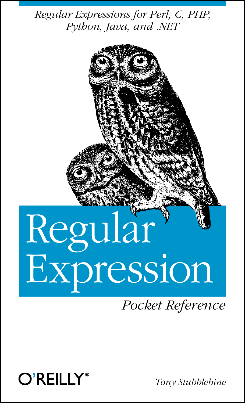*Regular Expressions for Perl, C, PHP, Python, Java, and .NET*

# Regular Expression

*Pocket Reference*



*Tony Stubblebine*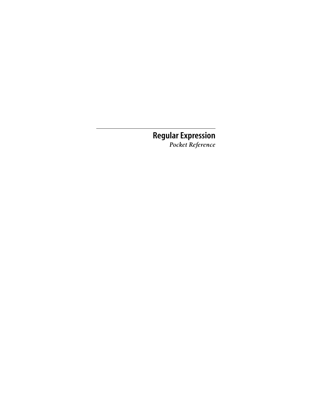### **Regular Expression** *Pocket Reference*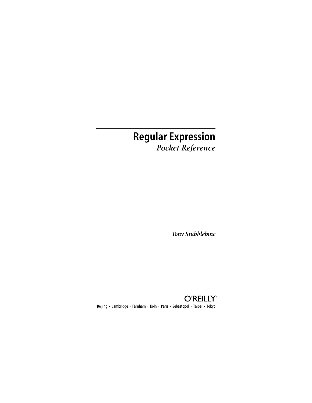# **Regular Expression** *Pocket Reference*

*Tony Stubblebine*



Beijing **•** Cambridge **•** Farnham **•** Köln **•** Paris **•** Sebastopol **•** Taipei **•** Tokyo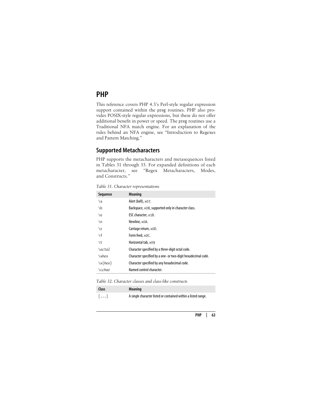## **PHP**

This reference covers PHP 4.3's Perl-style regular expression support contained within the preg routines. PHP also provides POSIX-style regular expressions, but these do not offer additional benefit in power or speed. The preg routines use a Traditional NFA match engine. For an explanation of the rules behind an NFA engine, see "Introduction to Regexes and Pattern Matching."

#### **Supported Metacharacters**

PHP supports the metacharacters and metasequences listed in Tables 31 through 35. For expanded definitions of each metacharacter, see "Regex Metacharacters, Modes, and Constructs."

| Sequence      | <b>Meaning</b>                                               |
|---------------|--------------------------------------------------------------|
| ١a            | Alert (bell), x07.                                           |
| ١b            | Backspace, x08, supported only in character class.           |
| ١e            | ESC character, x1B.                                          |
| $\n\vee$ n    | Newline, x0A.                                                |
| ١r            | Carriage return, xOD.                                        |
| $\setminus f$ | Form feed, xOC.                                              |
| ١t            | Horizontal tab, x09                                          |
| \octal        | Character specified by a three-digit octal code.             |
| $\lambda x$   | Character specified by a one- or two-digit hexadecimal code. |
| $\x{hex}$     | Character specified by any hexadecimal code.                 |
| \cchar        | Named control character.                                     |

*Table 31. Character representations*

*Table 32. Character classes and class-like constructs*

| <b>Class</b>          | <b>Meaning</b>                                                |
|-----------------------|---------------------------------------------------------------|
| $\lceil \dots \rceil$ | A single character listed or contained within a listed range. |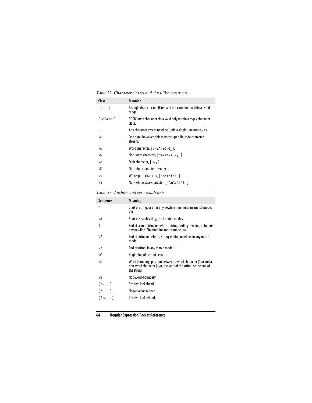*Table 32. Character classes and class-like constructs*

| Class                 | <b>Meaning</b>                                                            |
|-----------------------|---------------------------------------------------------------------------|
| $\lceil$ <sup>^</sup> | A single character not listed and not contained within a listed<br>range. |
| [:class:]             | POSIX-style character class valid only within a regex character<br>class. |
|                       | Any character except newline (unless single-line mode,/s).                |
| ١C                    | One byte; however, this may corrupt a Unicode character<br>stream.        |
| \w                    | Word character, $[a-zA-zO-9]$ .                                           |
| ١W                    | Non-word character, $\lceil$ ^a - zA - zO - 9 $\lceil$ .                  |
| ١d                    | Digit character, [0-9].                                                   |
| <b>ND</b>             | Non-digit character, $\lceil$ ^0-9].                                      |
| \s                    | Whitespace character, $\lceil \n\ln r + \n\frac{1}{r} \rceil$ .           |
| ١S                    | Non-whitespace character, [ ^\n\r\f\t ].                                  |

*Table 33. Anchors and zero-width tests*

| Sequence                        | <b>Meaning</b>                                                                                                                                        |
|---------------------------------|-------------------------------------------------------------------------------------------------------------------------------------------------------|
| $\wedge$                        | Start of string, or after any newline if in multiline match mode,<br>/m.                                                                              |
| \A                              | Start of search string, in all match modes.                                                                                                           |
| \$                              | End of search string or before a string-ending newline, or before<br>any newline if in multiline match mode, /m.                                      |
| ١Z                              | End of string or before a string-ending newline, in any match<br>mode.                                                                                |
| $\chi$                          | End of string, in any match mode.                                                                                                                     |
| ١G                              | Beginning of current search.                                                                                                                          |
| ١b                              | Word boundary; position between a word character $(\wedge w)$ and a<br>non-word character (\W), the start of the string, or the end of<br>the string. |
| $\setminus B$                   | Not-word-boundary.                                                                                                                                    |
| $($ ?= )                        | Positive lookahead.                                                                                                                                   |
| (? )                            | Negative lookahead.                                                                                                                                   |
| $($ ? $\leftarrow$ $\ldots$ $)$ | Positive lookbehind.                                                                                                                                  |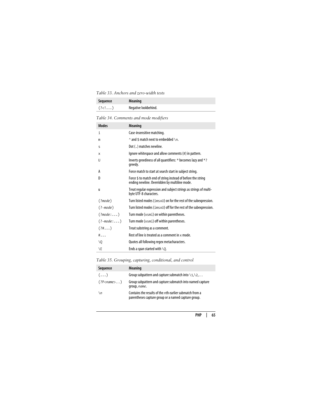*Table 33. Anchors and zero-width tests*

| Sequence                       | Meaning              |
|--------------------------------|----------------------|
| $(?\langle ! \ldots \rangle )$ | Negative lookbehind. |

*Table 34. Comments and mode modifiers*

| <b>Modes</b>       | <b>Meaning</b>                                                                                                |
|--------------------|---------------------------------------------------------------------------------------------------------------|
| i                  | Case-insensitive matching.                                                                                    |
| m                  | $\land$ and \$ match next to embedded $\land$ n.                                                              |
| S                  | Dot (.) matches newline.                                                                                      |
| x                  | Ignore whitespace and allow comments (#) in pattern.                                                          |
| U                  | Inverts greediness of all quantifiers: * becomes lazy and *?<br>greedy.                                       |
| A                  | Force match to start at search start in subject string.                                                       |
| D                  | Force \$ to match end of string instead of before the string<br>ending newline. Overridden by multiline mode. |
| u                  | Treat regular expression and subject strings as strings of multi-<br>byte UTF-8 characters.                   |
| $(\text{?mode})$   | Turn listed modes ( $\text{ims} \times U$ ) on for the rest of the subexpression.                             |
| $( ?$ -mode $ )$   | Turn listed modes ( $\text{ims} \times U$ ) off for the rest of the subexpression.                            |
| $(\frac{?mode}{})$ | Turn mode (xsmi) on within parentheses.                                                                       |
| $( ?$ -mode:)      | Turn mode (xsmi) off within parentheses.                                                                      |
| (?#,)              | Treat substring as a comment.                                                                                 |
| $\#$               | Rest of line is treated as a comment in $\times$ mode.                                                        |
| $\setminus 0$      | Quotes all following regex metacharacters.                                                                    |
| ١E                 | Ends a span started with $\setminus$ Q.                                                                       |

*Table 35. Grouping, capturing, conditional, and control*

| Sequence           | <b>Meaning</b>                                                                                                 |
|--------------------|----------------------------------------------------------------------------------------------------------------|
| $(\ldots)$         | Group subpattern and capture submatch into $\langle 1, \rangle$ 2,                                             |
| (?P <name>)</name> | Group subpattern and capture submatch into named capture<br>group, name.                                       |
| $\n\vee$ n         | Contains the results of the nth earlier submatch from a<br>parentheses capture group or a named capture group. |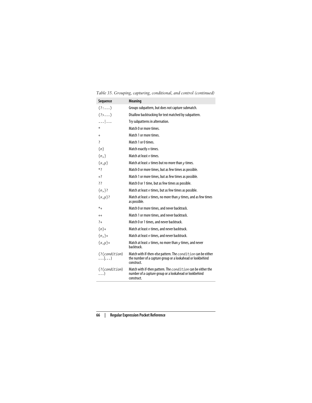| Sequence                          | <b>Meaning</b>                                                                                                                                  |
|-----------------------------------|-------------------------------------------------------------------------------------------------------------------------------------------------|
| $(?\dots)$                        | Groups subpattern, but does not capture submatch.                                                                                               |
| $(?\rangle \ldots)$               | Disallow backtracking for text matched by subpattern.                                                                                           |
| .                                 | Try subpatterns in alternation.                                                                                                                 |
| $\ast$                            | Match 0 or more times.                                                                                                                          |
| $\ddot{}$                         | Match 1 or more times.                                                                                                                          |
| 7                                 | Match 1 or 0 times.                                                                                                                             |
| ${n}$                             | Match exactly n times.                                                                                                                          |
| $\{n,\}$                          | Match at least n times.                                                                                                                         |
| $\{x,y\}$                         | Match at least $x$ times but no more than $y$ times.                                                                                            |
| $*$                               | Match 0 or more times, but as few times as possible.                                                                                            |
| $+2$                              | Match 1 or more times, but as few times as possible.                                                                                            |
| 77                                | Match 0 or 1 time, but as few times as possible.                                                                                                |
| ${n, }$ ?                         | Match at least $n$ times, but as few times as possible.                                                                                         |
| $\{x,y\}$ ?                       | Match at least $x$ times, no more than $y$ times, and as few times<br>as possible.                                                              |
| $*_{+}$                           | Match 0 or more times, and never backtrack.                                                                                                     |
| $^{++}$                           | Match 1 or more times, and never backtrack.                                                                                                     |
| $\overline{2}$                    | Match 0 or 1 times, and never backtrack.                                                                                                        |
| ${n}_{+}$                         | Match at least n times, and never backtrack.                                                                                                    |
| ${n,}+$                           | Match at least n times, and never backtrack.                                                                                                    |
| $\{x,y\}$ +                       | Match at least $x$ times, no more than $y$ times, and never<br>hacktrack.                                                                       |
| (?(condition)<br>$\dots  \dots)$  | Match with if-then-else pattern. The <i>condition</i> can be either<br>the number of a capture group or a lookahead or lookbehind<br>construct. |
| $($ ? $(condition)$<br>$\ldots$ ) | Match with if-then pattern. The <i>condition</i> can be either the<br>number of a capture group or a lookahead or lookbehind<br>construct.      |

*Table 35. Grouping, capturing, conditional, and control (continued)*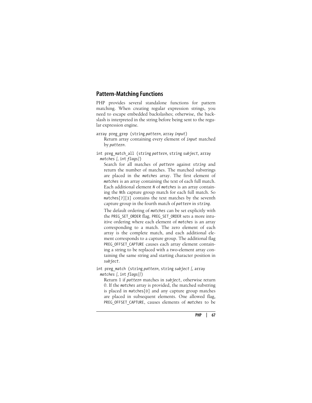#### **Pattern-Matching Functions**

PHP provides several standalone functions for pattern matching. When creating regular expression strings, you need to escape embedded backslashes; otherwise, the backslash is interpreted in the string before being sent to the regular expression engine.

array preg\_grep (string *pattern,* array *input*) Return array containing every element of *input* matched by *pattern*.

int preg\_match\_all (string *pattern,* string *subject,* array *matches [,* int *flags]*)

Search for all matches of *pattern* against *string* and return the number of matches. The matched substrings are placed in the *matches* array. The first element of *matches* is an array containing the text of each full match. Each additional element *N* of *matches* is an array containing the *N*th capture group match for each full match. So matches[7][3] contains the text matches by the seventh capture group in the fourth match of *pattern* in *string*.

The default ordering of *matches* can be set explicitly with the PREG\_SET\_ORDER flag. PREG\_SET\_ORDER sets a more intuitive ordering where each element of *matches* is an array corresponding to a match. The zero element of each array is the complete match, and each additional element corresponds to a capture group. The additional flag PREG\_OFFSET\_CAPTURE causes each array element containing a string to be replaced with a two-element array containing the same string and starting character position in *subject*.

int preg\_match (string *pattern,* string *subject [,* array *matches [,* int *flags]]*)

Return 1 if *pattern* matches in *subject*, otherwise return 0. If the *matches* array is provided, the matched substring is placed in matches[0] and any capture group matches are placed in subsequent elements. One allowed flag, PREG OFFSET CAPTURE, causes elements of *matches* to be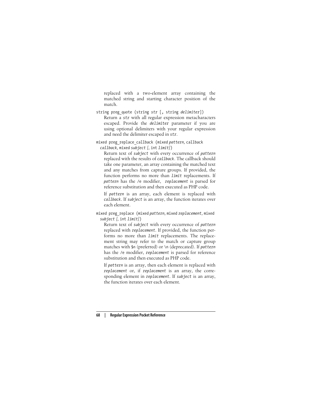replaced with a two-element array containing the matched string and starting character position of the match.

string preg\_quote (string *str* [, string *delimiter*]) Return a *str* with all regular expression metacharacters escaped. Provide the *delimiter* parameter if you are using optional delimiters with your regular expression and need the delimiter escaped in *str*.

```
mixed preg_replace_callback (mixed pattern, callback
 callback, mixed subject [, int limit])
```
Return text of *subject* with every occurrence of *pattern* replaced with the results of *callback*. The callback should take one parameter, an array containing the matched text and any matches from capture groups. If provided, the function performs no more than *limit* replacements. If *pattern* has the /e modifier, *replacement* is parsed for reference substitution and then executed as PHP code.

If *pattern* is an array, each element is replaced with *callback*. If *subject* is an array, the function iterates over each element.

mixed preg\_replace (mixed *pattern,* mixed *replacement,* mixed *subject [,* int *limit]*)

Return text of *subject* with every occurrence of *pattern* replaced with *replacement*. If provided, the function performs no more than *limit* replacements. The replacement string may refer to the match or capture group matches with \$n (preferred) or \n (deprecated). If *pattern* has the /e modifier, *replacement* is parsed for reference substitution and then executed as PHP code.

If *pattern* is an array, then each element is replaced with *replacement* or, if *replacement* is an array, the corresponding element in *replacement*. If *subject* is an array, the function iterates over each element.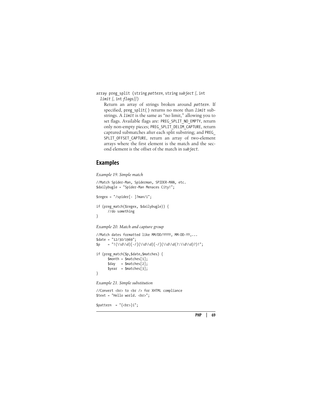array preg\_split (string *pattern,* string *subject [,* int *limit [,* int *flags]]*)

Return an array of strings broken around *pattern*. If specified, preg\_split( ) returns no more than *limit* substrings. A *limit* is the same as "no limit," allowing you to set flags. Available flags are: PREG\_SPLIT\_NO\_EMPTY, return only non-empty pieces; PREG\_SPLIT\_DELIM\_CAPTURE, return captured submatches after each split substring; and PREG\_ SPLIT OFFSET CAPTURE, return an array of two-element arrays where the first element is the match and the second element is the offset of the match in *subject*.

#### **Examples**

*Example 19. Simple match* //Match Spider-Man, Spiderman, SPIDER-MAN, etc. \$dailybugle = "Spider-Man Menaces City!";  $$regex = "/spider[- ]?man/i";$ if (preg\_match(\$regex, \$dailybugle)) { //do something }

*Example 20. Match and capture group*

```
//Match dates formatted like MM/DD/YYYY, MM-DD-YY,...
$date = "12/30/1969";
$p = "!(\\d\\d)[-/](\\d\\d)[-/](\\d\\d(?:\\d\\d)?)!";
if (preg_match($p,$date,$matches) {
      $month = $matches[1];\text{3day} = \text{5matches}[2];\text{year} = \text{Smatches[3]};}
Example 21. Simple substitution
```
//Convert <br> to <br /> for XHTML compliance \$text = "Hello world. <br>";  $$pattern = "\{cbr}\i";$